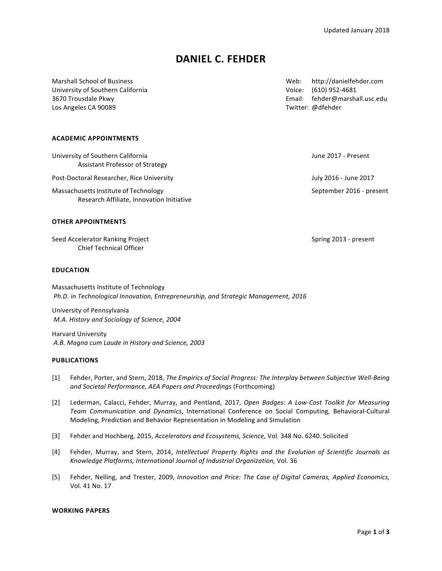# **DANIEL C. FEHDER**

University of Southern California Communication Controller Controller Voice: (610) 952-4681 Los Angeles CA 90089 Twitter: @dfehder

Marshall School of Business Network Control of Business Web: http://danielfehder.com 3670 Trousdale Pkwy Email: fehder@marshall.usc.edu

## **ACADEMIC APPOINTMENTS**

| University of Southern California<br>Assistant Professor of Strategy               | June 2017 - Present      |
|------------------------------------------------------------------------------------|--------------------------|
| Post-Doctoral Researcher, Rice University                                          | July 2016 - June 2017    |
| Massachusetts Institute of Technology<br>Research Affiliate, Innovation Initiative | September 2016 - present |

## **OTHER APPOINTMENTS**

Seed Accelerator Ranking Project **Spring 2013** - present Chief Technical Officer

# **EDUCATION**

Massachusetts Institute of Technology Ph.D. in Technological Innovation, Entrepreneurship, and Strategic Management, 2016

University of Pennsylvania *M.A. History and Sociology of Science, 2004* 

Harvard University *A.B. Magna cum Laude in History and Science, 2003*

#### **PUBLICATIONS**

- [1] Fehder, Porter, and Stern, 2018, *The Empirics of Social Progress: The Interplay between Subjective Well-Being* and Societal Performance, AEA Papers and Proceedings (Forthcoming)
- [2] Lederman, Calacci, Fehder, Murray, and Pentland, 2017, *Open Badges: A Low-Cost Toolkit for Measuring Team Communication and Dynamics*, International Conference on Social Computing, Behavioral-Cultural Modeling, Prediction and Behavior Representation in Modeling and Simulation
- [3] Fehder and Hochberg, 2015, *Accelerators and Ecosystems, Science, Vol.* 348 No. 6240. Solicited
- [4] Fehder, Murray, and Stern, 2014, *Intellectual Property Rights and the Evolution of Scientific Journals as* Knowledge Platforms, International Journal of Industrial Organization, Vol. 36
- [5] Fehder, Nelling, and Trester, 2009, *Innovation and Price: The Case of Digital Cameras, Applied Economics,* Vol. 41 No. 17

#### **WORKING PAPERS**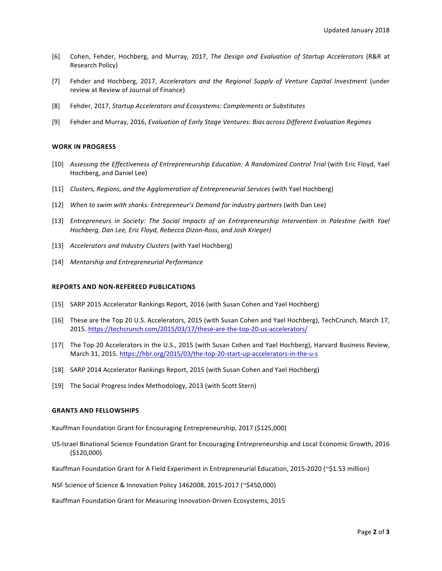- [6] Cohen, Fehder, Hochberg, and Murray, 2017, *The Design and Evaluation of Startup Accelerators* (R&R at Research Policy)
- [7] Fehder and Hochberg, 2017, *Accelerators and the Regional Supply of Venture Capital Investment* (under review at Review of Journal of Finance)
- [8] Fehder, 2017, *Startup Accelerators and Ecosystems: Complements or Substitutes*
- [9] Fehder and Murray, 2016, *Evaluation of Early Stage Ventures: Bias across Different Evaluation Regimes*

#### **WORK IN PROGRESS**

- [10] *Assessing the Effectiveness of Entrepreneurship Education: A Randomized Control Trial (with Eric Floyd, Yael* Hochberg, and Daniel Lee)
- [11] *Clusters, Regions, and the Agglomeration of Entrepreneurial Services* (with Yael Hochberg)
- [12] When to swim with sharks: Entrepreneur's Demand for industry partners (with Dan Lee)
- [13] *Entrepreneurs in Society: The Social Impacts of an Entrepreneurship Intervention in Palestine (with Yael Hochberg, Dan Lee, Eric Floyd, Rebecca Dizon-Ross, and Josh Krieger)*
- [13] *Accelerators and Industry Clusters* (with Yael Hochberg)
- [14] Mentorship and Entrepreneurial Performance

### **REPORTS AND NON-REFEREED PUBLICATIONS**

- [15] SARP 2015 Accelerator Rankings Report, 2016 (with Susan Cohen and Yael Hochberg)
- [16] These are the Top 20 U.S. Accelerators, 2015 (with Susan Cohen and Yael Hochberg), TechCrunch, March 17, 2015. https://techcrunch.com/2015/03/17/these-are-the-top-20-us-accelerators/
- [17] The Top 20 Accelerators in the U.S., 2015 (with Susan Cohen and Yael Hochberg), Harvard Business Review, March 31, 2015. https://hbr.org/2015/03/the-top-20-start-up-accelerators-in-the-u-s
- [18] SARP 2014 Accelerator Rankings Report, 2015 (with Susan Cohen and Yael Hochberg)
- [19] The Social Progress Index Methodology, 2013 (with Scott Stern)

#### **GRANTS AND FELLOWSHIPS**

Kauffman Foundation Grant for Encouraging Entrepreneurship, 2017 (\$125,000)

US-Israel Binational Science Foundation Grant for Encouraging Entrepreneurship and Local Economic Growth, 2016 (\$120,000)

Kauffman Foundation Grant for A Field Experiment in Entrepreneurial Education, 2015-2020 (~\$1.53 million)

NSF Science of Science & Innovation Policy 1462008, 2015-2017 (~\$450,000)

Kauffman Foundation Grant for Measuring Innovation-Driven Ecosystems, 2015